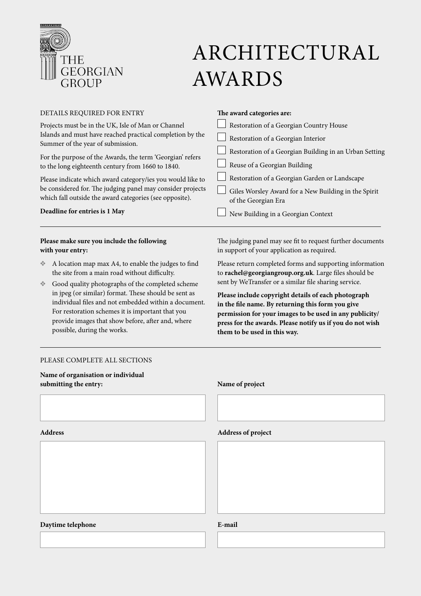

# ARCHITECTURAL AWARDS

| DETAILS REQUIRED FOR ENTRY                                 | The award categories are:                              |
|------------------------------------------------------------|--------------------------------------------------------|
| Projects must be in the UK, Isle of Man or Channel         | Restoration of a Georgian Country House                |
| Islands and must have reached practical completion by the  | Restoration of a Georgian Interior                     |
| Summer of the year of submission.                          | Restoration of a Georgian Building in an Urban Setting |
| For the purpose of the Awards, the term 'Georgian' refers  |                                                        |
| to the long eighteenth century from 1660 to 1840.          | Reuse of a Georgian Building                           |
| Please indicate which award category/ies you would like to | Restoration of a Georgian Garden or Landscape          |
| be considered for. The judging panel may consider projects | Giles Worsley Award for a New Building in the Spirit   |
| which fall outside the award categories (see opposite).    | of the Georgian Era                                    |
| Deadline for entries is 1 May                              | New Building in a Georgian Context                     |
|                                                            |                                                        |

## **Please make sure you include the following with your entry:**

- ❖ A location map max A4, to enable the judges to find the site from a main road without difficulty.
- ❖ Good quality photographs of the completed scheme in jpeg (or similar) format. These should be sent as individual files and not embedded within a document. For restoration schemes it is important that you provide images that show before, after and, where possible, during the works.

### PLEASE COMPLETE ALL SECTIONS

**Name of organisation or individual submitting the entry: Name of project**

The judging panel may see fit to request further documents in support of your application as required.

Please return completed forms and supporting information to **rachel@georgiangroup.org.uk**. Large files should be sent by WeTransfer or a similar file sharing service.

**Please include copyright details of each photograph in the file name. By returning this form you give permission for your images to be used in any publicity/ press for the awards. Please notify us if you do not wish them to be used in this way.** 

### **Address Address of project**

# **Daytime telephone E-mail**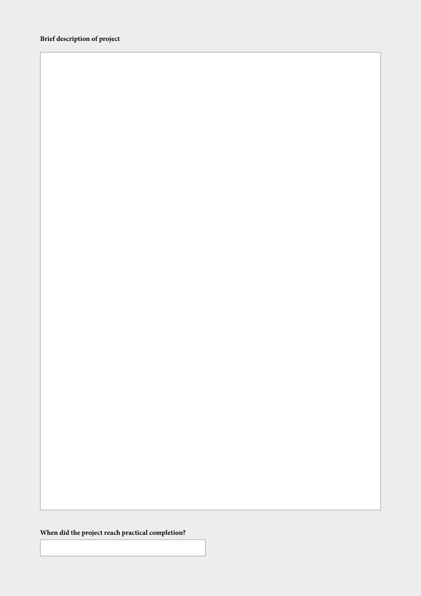**When did the project reach practical completion?**